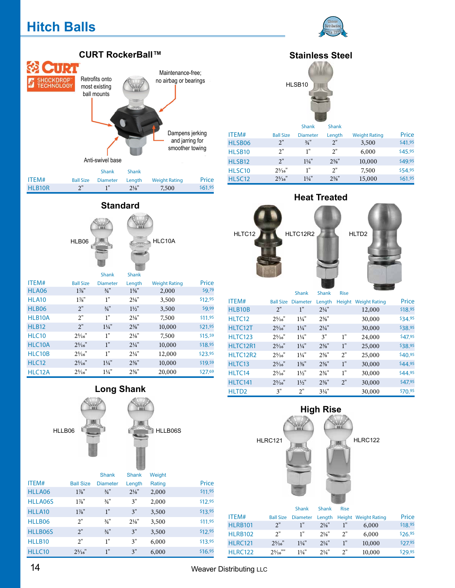# **Hitch Balls**





#### **Standard**



|                   |                   | <b>Shank</b>     | <b>Shank</b>     |                      |         |
|-------------------|-------------------|------------------|------------------|----------------------|---------|
| ITEM#             | <b>Ball Size</b>  | <b>Diameter</b>  | Length           | <b>Weight Rating</b> | Price   |
| HLA06             | $1\%$ "           | $\frac{3}{4}$ "  | $1\frac{5}{8}$ " | 2,000                | \$9.79  |
| <b>HLA10</b>      | $1\%$ "           | 1"               | $2\frac{1}{8}$ " | 3,500                | \$12.95 |
| HLB <sub>06</sub> | 2"                | $\frac{3}{4}$ "  | $1\frac{1}{2}$   | 3,500                | \$9.99  |
| HLB10A            | 2"                | 1"               | $2\frac{1}{8}$   | 7,500                | \$11.95 |
| <b>HLB12</b>      | 2"                | $1\frac{1}{4}$ " | $2\frac{5}{8}$ " | 10,000               | \$21.95 |
| <b>HLC10</b>      | $2\frac{5}{16}$   | 1"               | $2\frac{1}{8}$   | 7,500                | \$15.59 |
| HLC10A            | $2\frac{5}{16}$ " | 1"               | $2\frac{1}{4}$ " | 10,000               | \$18.95 |
| HLC10B            | $2\frac{5}{16}$ " | 1"               | $2\frac{1}{4}$ " | 12,000               | \$23.95 |
| <b>HLC12</b>      | $2\frac{5}{16}$   | $1\frac{1}{4}$ " | $2\frac{5}{8}$ " | 10,000               | \$19.59 |
| HLC12A            | $2\frac{5}{16}$   | $1\frac{1}{4}$ " | $2\frac{5}{8}$ " | 20,000               | \$27.69 |

## **Long Shank**



|         |                  | <b>Shank</b>    | <b>Shank</b>     | Weight |         |
|---------|------------------|-----------------|------------------|--------|---------|
| ITEM#   | <b>Ball Size</b> | <b>Diameter</b> | Length           | Rating | Price   |
| HLLA06  | $1\%$ "          | $\frac{3}{4}$ " | $2\frac{1}{8}$ " | 2,000  | \$11.95 |
| HLLA06S | $1\%$ "          | $\frac{3}{4}$ " | 3"               | 2,000  | \$12.95 |
| HLLA10  | $1\%$ "          | 1"              | 3"               | 3,500  | \$13.95 |
| HLLB06  | 2"               | $\frac{3}{4}$ " | $2\frac{1}{8}$ " | 3,500  | \$11.95 |
| HLLB06S | 2"               | $\frac{3}{4}$ " | 3"               | 3,500  | \$12.95 |
| HLLB10  | 2"               | 1"              | 3"               | 6,000  | \$13.95 |
| HLLC10  | $2\frac{5}{16}$  | 1"              | 3"               | 6,000  | \$16.95 |

## **Stainless Steel**



|                    |                  | <b>Shank</b>     | <b>Shank</b>     |                      |         |
|--------------------|------------------|------------------|------------------|----------------------|---------|
| ITEM#              | <b>Ball Size</b> | <b>Diameter</b>  | Length           | <b>Weight Rating</b> | Price   |
| HLSB06             | 2"               | $\frac{3}{4}$ "  | 2"               | 3,500                | \$41.95 |
| HLSB <sub>10</sub> | 2"               | 1"               | 2"               | 6,000                | \$45.95 |
| HLSB <sub>12</sub> | 2"               | $1\frac{1}{4}$ " | $2\frac{5}{8}$ " | 10,000               | \$49.95 |
| HLSC <sub>10</sub> | $2\frac{5}{16}$  | 1"               | 2"               | 7,500                | \$54.95 |
| HLSC <sub>12</sub> | $2^{5/16}$       | $1\frac{1}{4}$ " | $2\frac{5}{8}$ " | 15,000               | \$61.95 |

## **Heat Treated**



| ITEM#             | <b>Ball Size</b> | <b>Diameter</b>  | Length           | Height | <b>Weight Rating</b> | Price   |
|-------------------|------------------|------------------|------------------|--------|----------------------|---------|
| HLB10B            | 2"               | 1"               | $2\frac{1}{4}$ " |        | 12,000               | \$18.95 |
| HLTC12            | $2\frac{5}{16}$  | $1\frac{1}{4}$   | $2\frac{5}{8}$ " |        | 30,000               | \$34.95 |
| HLTC12T           | $2\frac{5}{16}$  | $1\frac{1}{4}$ " | $2\frac{1}{4}$ " |        | 30,000               | \$38.95 |
| <b>HLTC123</b>    | $2\frac{5}{16}$  | $1\frac{1}{4}$   | 3"               | 1"     | 24,000               | \$47.95 |
| HLTC12R1          | $2\frac{5}{16}$  | $1\frac{1}{4}$ " | $2\frac{5}{8}$ " | 1"     | 25,000               | \$38.95 |
| HLTC12R2          | $2\frac{5}{16}$  | $1\frac{1}{4}$   | $2\frac{5}{8}$ " | 2"     | 25,000               | \$40.95 |
| HLTC13            | $2^{5}/16$ "     | $1\frac{3}{8}$ " | $2\frac{5}{8}$ " | 1"     | 30,000               | \$44.95 |
| HLTC14            | $2\frac{5}{16}$  | $1\frac{1}{2}$   | $2\frac{3}{4}$ " | 1"     | 30,000               | \$44.95 |
| HLTC141           | $2^{5}/16$ "     | $1\frac{1}{2}$   | $2\frac{5}{8}$ " | 2"     | 30,000               | \$47.95 |
| HLTD <sub>2</sub> | 3"               | 2"               | $3\frac{1}{4}$ " |        | 30,000               | \$70.95 |



| ITEM#           | <b>Ball Size</b>   | <b>Diameter</b> | Length         |    | Height Weight Rating | Price   |
|-----------------|--------------------|-----------------|----------------|----|----------------------|---------|
| <b>HLRB101</b>  | 2"                 |                 | $2\frac{1}{8}$ | 1" | 6,000                | \$18.95 |
| <b>HLRB102</b>  | 2"                 | 1"              | $2\frac{1}{8}$ | 2" | 6,000                | \$26.95 |
| <b>HI RC121</b> | $2\frac{5}{16}$    | $1\frac{1}{4}$  | $2\frac{1}{4}$ | 1" | 10,000               | \$27.95 |
| <b>HI RC122</b> | $2\frac{5}{16}$ "" | $1\frac{1}{4}$  | $2^{1/4}$      | 2" | 10,000               | \$29.95 |

Weaver Distributing LLC